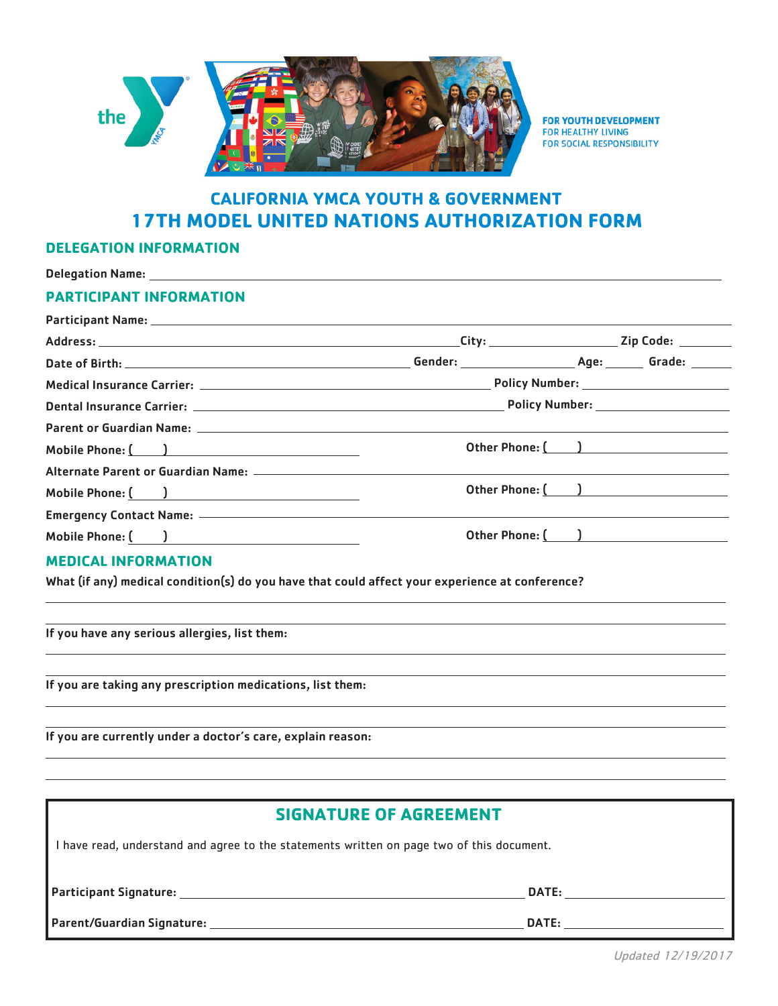

FOR YOUTH DEVELOPMENT **FOR HEALTHY LIVING** FOR SOCIAL RESPONSIBILITY

## **CALIFORNIA YMCA YOUTH & GOVERNMENT 17TH MODEL UNITED NATIONS AUTHORIZATION FORM**

## **DELEGATION INFORMATION**

| Delegation Name: Name: Name: Name: Name: Name: Name: Name: Name: Name: Name: Name: Name: Name: Name: Name: Name: Name: Name: Name: Name: Name: Name: Name: Name: Name: Name: Name: Name: Name: Name: Name: Name: Name: Name: N |                                         |  |                  |
|--------------------------------------------------------------------------------------------------------------------------------------------------------------------------------------------------------------------------------|-----------------------------------------|--|------------------|
| <b>PARTICIPANT INFORMATION</b>                                                                                                                                                                                                 |                                         |  |                  |
|                                                                                                                                                                                                                                |                                         |  |                  |
|                                                                                                                                                                                                                                |                                         |  |                  |
|                                                                                                                                                                                                                                |                                         |  |                  |
|                                                                                                                                                                                                                                | Policy Number: ________________________ |  |                  |
|                                                                                                                                                                                                                                |                                         |  |                  |
|                                                                                                                                                                                                                                |                                         |  |                  |
| Mobile Phone: ( )                                                                                                                                                                                                              | Other Phone: ( )                        |  |                  |
|                                                                                                                                                                                                                                |                                         |  |                  |
| Mobile Phone: ( <u>)</u>                                                                                                                                                                                                       |                                         |  | Other Phone: ( ) |
|                                                                                                                                                                                                                                |                                         |  |                  |
| Mobile Phone: ( )                                                                                                                                                                                                              | Other Phone: ( )                        |  |                  |
| <b>MEDICAL INFORMATION</b>                                                                                                                                                                                                     |                                         |  |                  |
| What (if any) medical condition(s) do you have that could affect your experience at conference?                                                                                                                                |                                         |  |                  |
| If you have any serious allergies, list them:                                                                                                                                                                                  |                                         |  |                  |
| If you are taking any prescription medications, list them:                                                                                                                                                                     |                                         |  |                  |

If you are currently under a doctor's care, explain reason:

| <b>SIGNATURE OF AGREEMENT</b>                                                                                                                                                                                                       |              |  |  |
|-------------------------------------------------------------------------------------------------------------------------------------------------------------------------------------------------------------------------------------|--------------|--|--|
| I have read, understand and agree to the statements written on page two of this document.                                                                                                                                           |              |  |  |
| <b>Participant Signature:</b> example a series of the series of the series of the series of the series of the series of the series of the series of the series of the series of the series of the series of the series of the serie | <b>DATE:</b> |  |  |
|                                                                                                                                                                                                                                     | <b>DATE:</b> |  |  |